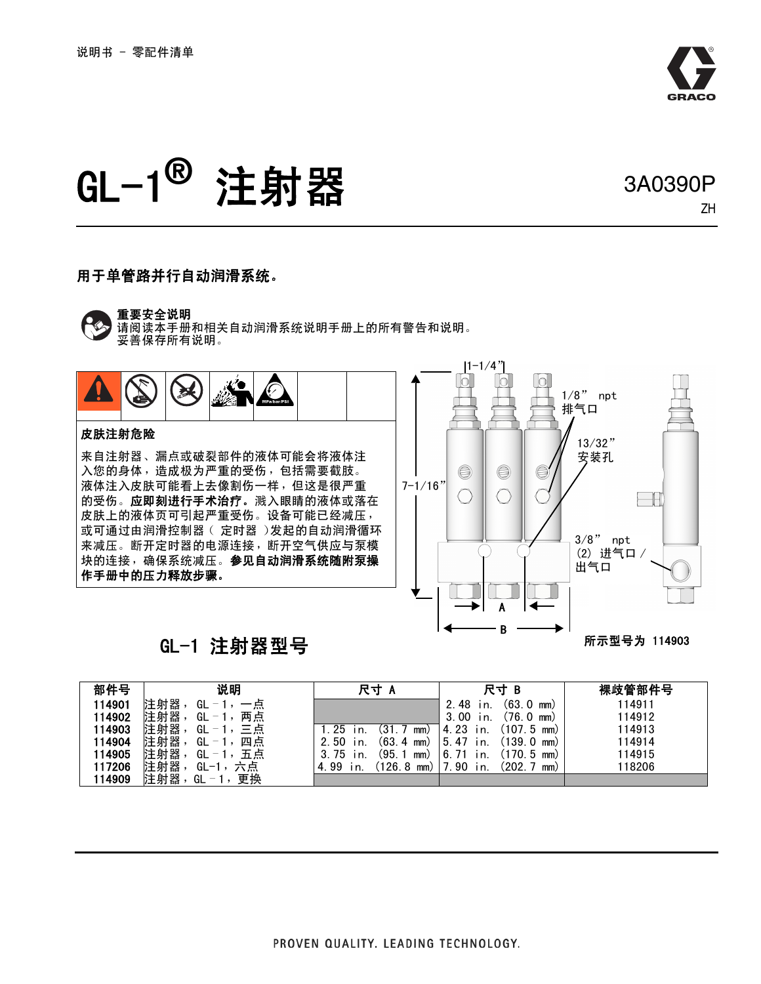

ZH

# GL-1**®** 注射器 3A0390P

#### 用于单管路并行自动润滑系统。

#### 重要安全说明

请阅读本手册和相关自动润滑系统说明手册上的所有警告和说明。 妥善保存所有说明。



### GL-1 注射器型号

所示型号为 114903

| 部件号    | 说明                                         | 尺寸                                                               | 尺寸 B                         | 裸歧管部件号 |
|--------|--------------------------------------------|------------------------------------------------------------------|------------------------------|--------|
| 14901  | 注射器<br>GL<br>$\overline{\phantom{0}}$<br>点 |                                                                  | (63. 0<br>2.48<br>mm)<br>n   | 114911 |
| 14902  | 注射器<br>两点<br>GL<br>$-1$                    |                                                                  | .76.0<br>3.00<br>mm)<br>in.  | 114912 |
| 14903  | 注射器<br>三点<br>GL<br>$-1$                    | . 25<br>mm)                                                      | 4.23<br>ั107.5<br>mm)<br>in. | 114913 |
| 14904  | 注射器<br>四点<br>GL<br>$-1$                    | (63.<br>2.50<br>$\overline{4}$<br>mm)<br>$\mathsf{I} \mathsf{n}$ | 139.0<br>5.47<br>mm)<br>in.  | 114914 |
| 14905  | 注射器<br>五点<br>GL<br>$\cdots$                | 195.<br>3.75<br>mm)<br>in.                                       | 170.5<br>6.71<br>mm)<br>In.  | 114915 |
| 117206 | 注射器<br>六点<br>$GL-1$ ,                      | 126.8<br>4.99<br>mm)<br>In.                                      | ้.202.<br>90<br>In.<br>(mm   | 118206 |
| 114909 | 注射器<br>更换<br>GL<br>$-1$ .                  |                                                                  |                              |        |

B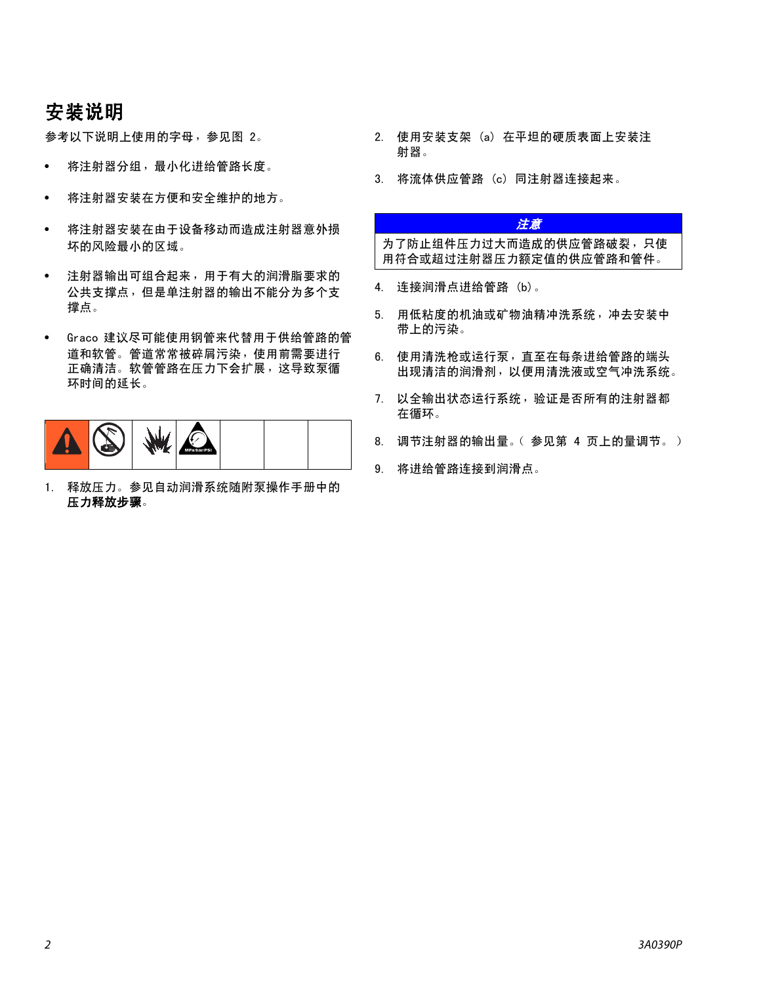## 安装说明

参考以下说明上使用的字母,参见图 2。

- 将注射器分组,最小化进给管路长度。
- 将注射器安装在方便和安全维护的地方。
- 将注射器安装在由于设备移动而造成注射器意外损 坏的风险最小的区域。
- 注射器输出可组合起来,用于有大的润滑脂要求的 公共支撑点,但是单注射器的输出不能分为多个支 撑点。
- Graco 建议尽可能使用钢管来代替用于供给管路的管 道和软管。管道常常被碎屑污染,使用前需要进行 正确清洁。软管管路在压力下会扩展,这导致泵循 环时间的延长。



1. 释放压力。参见自动润滑系统随附泵操作手册中的 压力释放步骤。

- 2. 使用安装支架 (a) 在平坦的硬质表面上安装注 射器。
- 3. 将流体供应管路 (c) 同注射器连接起来。

#### 注意

为了防止组件压力过大而造成的供应管路破裂,只使 用符合或超过注射器压力额定值的供应管路和管件。

- 4. 连接润滑点进给管路 (b)。
- 5. 用低粘度的机油或矿物油精冲洗系统,冲去安装中 带上的污染。
- 6. 使用清洗枪或运行泵,直至在每条进给管路的端头 出现清洁的润滑剂,以便用清洗液或空气冲洗系统。
- 7. 以全输出状态运行系统,验证是否所有的注射器都 在循环。
- 8. 调节注射器的输出量。(参见第 [4](#page-3-0) 页上的量调节。)
- 9. 将进给管路连接到润滑点。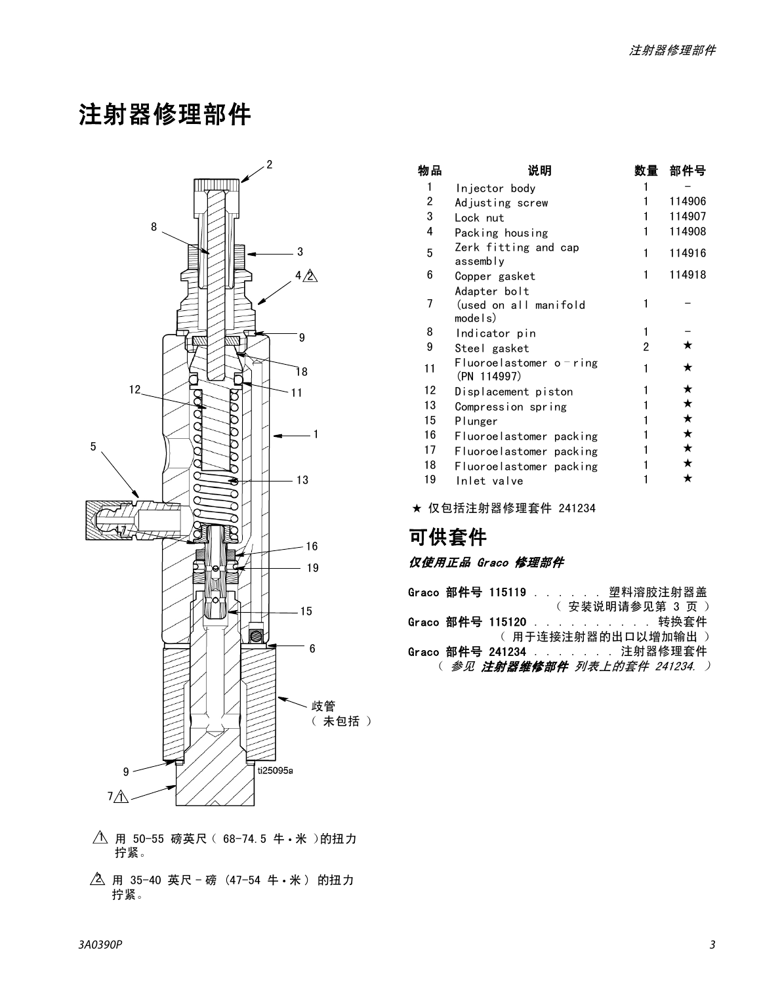## 注射器修理部件



- 用 50-55 磅英尺 (68-74.5 牛 米)的扭力 拧紧。  $\uparrow$
- \_\_<br>2、用 35−40 英尺‐磅(47−54 牛•米)的扭力 拧紧。

| 物品 | 说明                                                |   | 部件号    |
|----|---------------------------------------------------|---|--------|
| 1  | Injector body                                     |   |        |
| 2  | Adjusting screw                                   |   | 114906 |
| 3  | Lock nut                                          |   | 114907 |
| 4  | Packing housing                                   | 1 | 114908 |
| 5  | Zerk fitting and cap<br>assembly                  | 1 | 114916 |
| 6  | Copper gasket                                     | 1 | 114918 |
| 7  | Adapter bolt<br>(used on all manifold<br>model(s) | 1 |        |
| 8  | Indicator pin                                     |   |        |
| 9  | Steel gasket                                      | 2 | ★      |
| 11 | Fluoroelastomer o - ring<br>(PN 114997)           |   | ★      |
| 12 | Displacement piston                               |   | ★      |
| 13 | Compression spring                                |   | ★      |
| 15 | Plunger                                           |   | ★      |
| 16 | Fluoroelastomer packing                           |   | ★      |
| 17 | Fluoroelastomer packing                           |   | ★      |
| 18 | Fluoroelastomer packing                           |   | ★      |
| 19 | Inlet valve                                       |   | ★      |

★ 仅包括注射器修理套件 241234

## 可供套件

#### 仅使用正品 Graco 修理部件

|  |  | Graco 部件号 115119 塑料溶胶注射器盖             |  |
|--|--|---------------------------------------|--|
|  |  | ( 安装说明请参见第 3 页 )                      |  |
|  |  | Graco 部件号 115120 转换套件                 |  |
|  |  | (用于连接注射器的出口以增加输出)                     |  |
|  |  | Graco 部件号 241234 注射器修理套件              |  |
|  |  | ( 参见 注 <b>射器维修部件</b> 列表上的套件 241234. ) |  |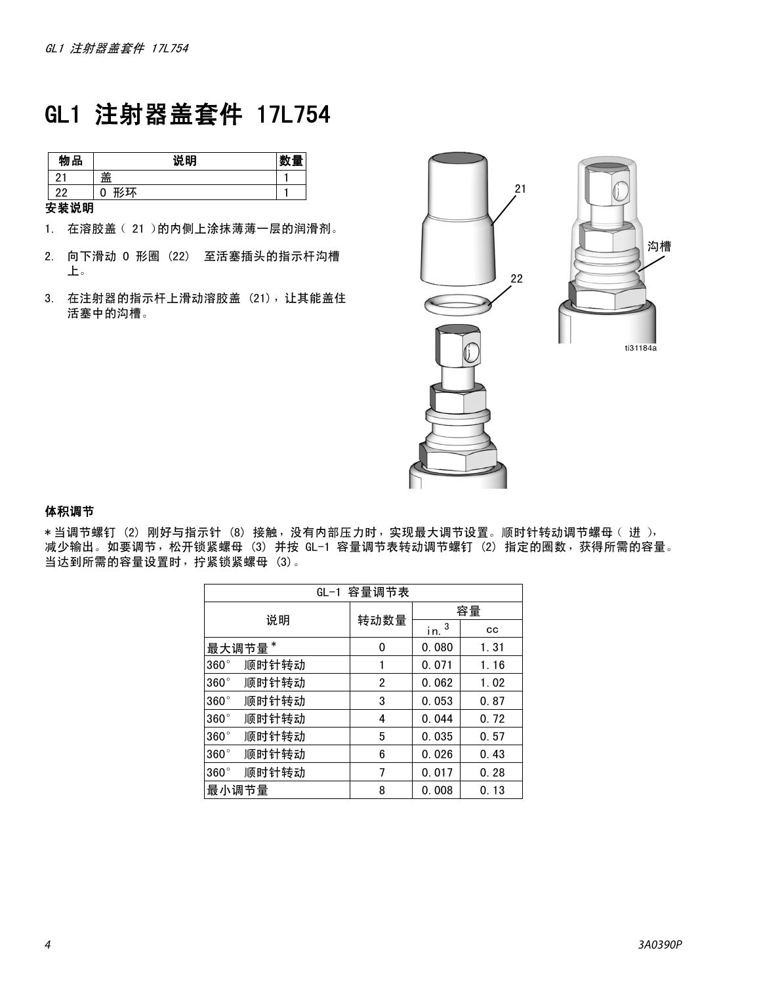## GL1 注射器盖套件 17L754

| 物品     | 说明                         | - 225 |
|--------|----------------------------|-------|
| $\sim$ | 盖                          |       |
| າາ     | $\pi$ / $\tau$ $\tau$<br>0 |       |

安装说明

- 1. 在溶胶盖 (21)的内侧上涂抹薄薄一层的润滑剂。
- 2. 向下滑动 O 形圈 (22) 至活塞插头的指示杆沟槽 上。
- 3. 在注射器的指示杆上滑动溶胶盖 (21),让其能盖住 活塞中的沟槽。



#### <span id="page-3-0"></span>体积调节

\* 当调节螺钉 (2) 刚好与指示针 (8) 接触, 没有内部压力时, 实现最大调节设置。顺时针转动调节螺母 (进), 减少输出。如要调节,松开锁紧螺母 (3) 并按 GL-1 容量调节表转动调节螺钉 (2) 指定的圈数,获得所需的容量。 当达到所需的容量设置时,拧紧锁紧螺母 (3)。

| GL-1 容量调节表           |      |                     |      |  |
|----------------------|------|---------------------|------|--|
| 说明                   |      | 容量                  |      |  |
|                      | 转动数量 | $i$ n. <sup>3</sup> | cс   |  |
| 最大调节量*               | 0    | 0.080               | 1.31 |  |
| 顺时针转动<br>$360^\circ$ |      | 0.071               | 1.16 |  |
| 顺时针转动<br>$360^\circ$ | 2    | 0.062               | 1.02 |  |
| 顺时针转动<br>$360^\circ$ | 3    | 0.053               | 0.87 |  |
| 顺时针转动<br>$360^\circ$ | 4    | 0.044               | 0.72 |  |
| 顺时针转动<br>$360^\circ$ | 5    | 0.035               | 0.57 |  |
| 顺时针转动<br>$360^\circ$ | 6    | 0.026               | 0.43 |  |
| 顺时针转动<br>$360^\circ$ | 7    | 0.017               | 0.28 |  |
| 最小调节量                | 8    | 0.008               | 0.13 |  |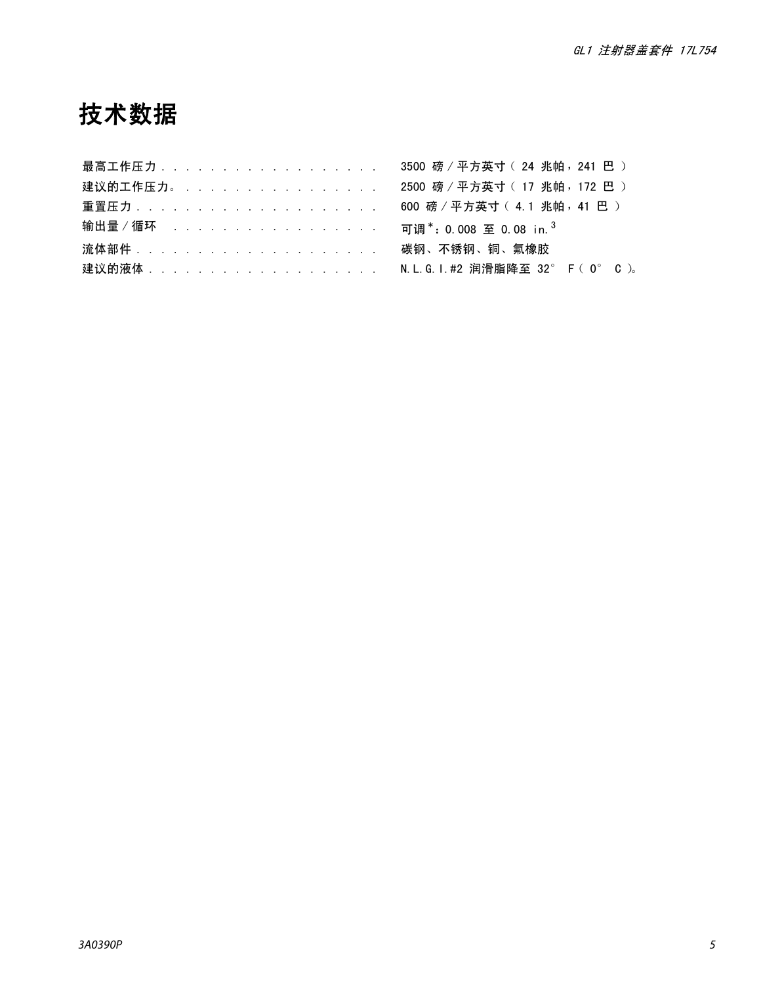## 技术数据

| 最高工作压力..................... 3500 磅 / 平方英寸 ( 24 兆帕 , 241 巴 )         |  |
|---------------------------------------------------------------------|--|
| 建议的工作压力。 .................. 2500 磅 / 平方英寸 ( 17 兆帕 , 172 巴 )         |  |
| 重置压力........................ 600 磅/平方英寸( 4.1 兆帕 41 巴 )              |  |
| 输出量/循环 可调*: 0.008 至 0.08 in. <sup>3</sup>                           |  |
| ·流体部件........................... 碳钢、不锈钢、铜、氟橡胶                       |  |
| 建议的液体 ........................ N. L. G. I. #2 润滑脂降至 32° F ( 0° C )。 |  |